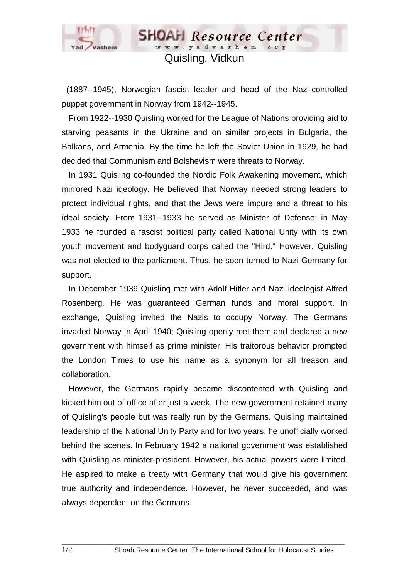

## Quisling, Vidkun

**SHOAH** Resource Center www.yadvashem.or

 (1887--1945), Norwegian fascist leader and head of the Nazi-controlled puppet government in Norway from 1942--1945.

 From 1922--1930 Quisling worked for the League of Nations providing aid to starving peasants in the Ukraine and on similar projects in Bulgaria, the Balkans, and Armenia. By the time he left the Soviet Union in 1929, he had decided that Communism and Bolshevism were threats to Norway.

 In 1931 Quisling co-founded the Nordic Folk Awakening movement, which mirrored Nazi ideology. He believed that Norway needed strong leaders to protect individual rights, and that the Jews were impure and a threat to his ideal society. From 1931--1933 he served as Minister of Defense; in May 1933 he founded a fascist political party called National Unity with its own youth movement and bodyguard corps called the "Hird." However, Quisling was not elected to the parliament. Thus, he soon turned to Nazi Germany for support.

 In December 1939 Quisling met with Adolf Hitler and Nazi ideologist Alfred Rosenberg. He was guaranteed German funds and moral support. In exchange, Quisling invited the Nazis to occupy Norway. The Germans invaded Norway in April 1940; Quisling openly met them and declared a new government with himself as prime minister. His traitorous behavior prompted the London Times to use his name as a synonym for all treason and collaboration.

 However, the Germans rapidly became discontented with Quisling and kicked him out of office after just a week. The new government retained many of Quisling's people but was really run by the Germans. Quisling maintained leadership of the National Unity Party and for two years, he unofficially worked behind the scenes. In February 1942 a national government was established with Quisling as minister-president. However, his actual powers were limited. He aspired to make a treaty with Germany that would give his government true authority and independence. However, he never succeeded, and was always dependent on the Germans.

 $\_$  ,  $\_$  ,  $\_$  ,  $\_$  ,  $\_$  ,  $\_$  ,  $\_$  ,  $\_$  ,  $\_$  ,  $\_$  ,  $\_$  ,  $\_$  ,  $\_$  ,  $\_$  ,  $\_$  ,  $\_$  ,  $\_$  ,  $\_$  ,  $\_$